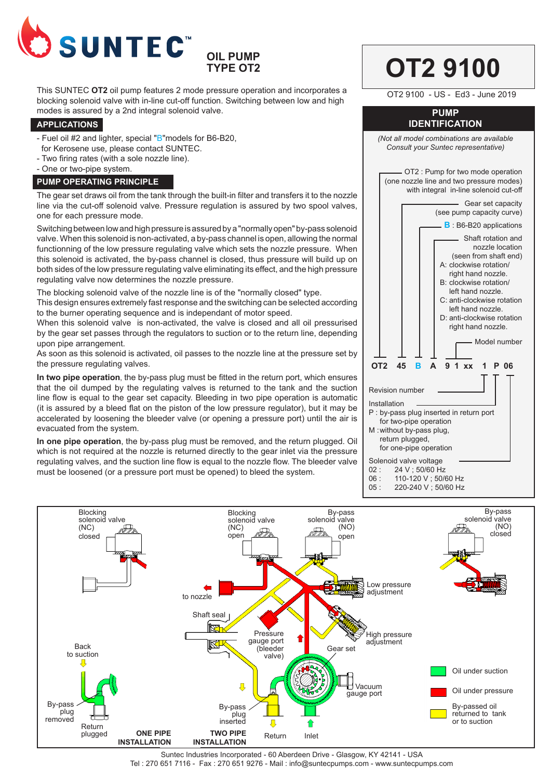

# **OIL PUMP TYPE OT2**

This SUNTEC **OT2** oil pump features 2 mode pressure operation and incorporates a blocking solenoid valve with in-line cut-off function. Switching between low and high modes is assured by a 2nd integral solenoid valve.

#### **APPLICATIONS**

- Fuel oil #2 and lighter, special "B"models for B6-B20,
- for Kerosene use, please contact SUNTEC.
- Two firing rates (with a sole nozzle line).
- One or two-pipe system.

### **PUMP OPERATING PRINCIPLE**

The gear set draws oil from the tank through the built-in filter and transfers it to the nozzle line via the cut-off solenoid valve. Pressure regulation is assured by two spool valves, one for each pressure mode.

Switching between low and high pressure is assured by a "normally open" by-pass solenoid valve. When this solenoid is non-activated, a by-pass channel is open, allowing the normal functionning of the low pressure regulating valve which sets the nozzle pressure. When this solenoid is activated, the by-pass channel is closed, thus pressure will build up on both sides of the low pressure regulating valve eliminating its effect, and the high pressure regulating valve now determines the nozzle pressure.

The blocking solenoid valve of the nozzle line is of the "normally closed" type.

This design ensures extremely fast response and the switching can be selected according to the burner operating sequence and is independant of motor speed.

When this solenoid valve is non-activated, the valve is closed and all oil pressurised by the gear set passes through the regulators to suction or to the return line, depending upon pipe arrangement.

As soon as this solenoid is activated, oil passes to the nozzle line at the pressure set by the pressure regulating valves.

**In two pipe operation**, the by-pass plug must be fitted in the return port, which ensures that the oil dumped by the regulating valves is returned to the tank and the suction line flow is equal to the gear set capacity. Bleeding in two pipe operation is automatic (it is assured by a bleed flat on the piston of the low pressure regulator), but it may be accelerated by loosening the bleeder valve (or opening a pressure port) until the air is evacuated from the system.

**In one pipe operation**, the by-pass plug must be removed, and the return plugged. Oil which is not required at the nozzle is returned directly to the gear inlet via the pressure regulating valves, and the suction line flow is equal to the nozzle flow. The bleeder valve must be loosened (or a pressure port must be opened) to bleed the system.



**OT2 9100** 



06 : 110-120 V ; 50/60 Hz<br>05 : 220-240 V : 50/60 Hz 05 : 220-240 V ; 50/60 Hz



Suntec Industries Incorporated - 60 Aberdeen Drive - Glasgow, KY 42141 - USA Tel : 270 651 7116 - Fax : 270 651 9276 - Mail : info@suntecpumps.com - www.suntecpumps.com